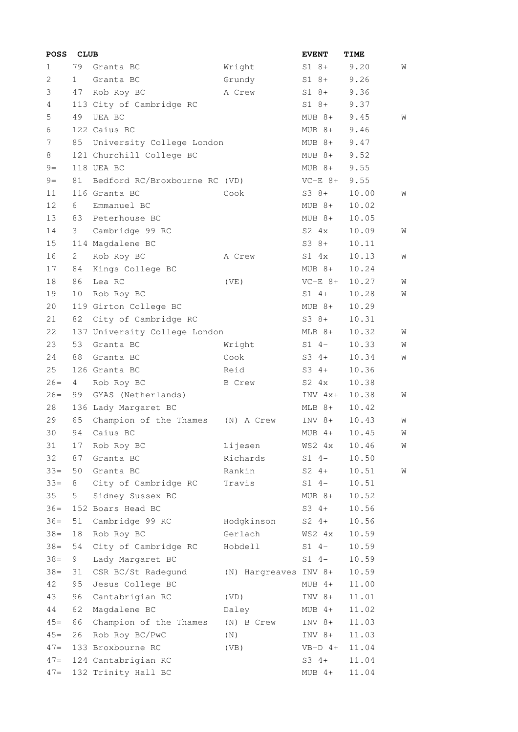| <b>POSS</b> | <b>CLUB</b>  |                               |                       | <b>EVENT</b>  | TIME  |   |
|-------------|--------------|-------------------------------|-----------------------|---------------|-------|---|
| 1           | 79           | Granta BC                     | Wright                | $S1 8+$       | 9.20  | W |
| 2           | $\mathbf{1}$ | Granta BC                     | Grundy                | S1 8+         | 9.26  |   |
| 3           | 47           | Rob Roy BC                    | A Crew                | S1 8+         | 9.36  |   |
| 4           |              | 113 City of Cambridge RC      |                       | $S1 8+$       | 9.37  |   |
| 5           | 49           | UEA BC                        |                       | MUB 8+        | 9.45  | W |
| 6           |              | 122 Caius BC                  |                       | MUB 8+        | 9.46  |   |
| 7           | 85           | University College London     |                       | $MUB$ $8+$    | 9.47  |   |
| 8           |              | 121 Churchill College BC      |                       | MUB 8+        | 9.52  |   |
| $9=$        |              | 118 UEA BC                    |                       | MUB 8+        | 9.55  |   |
| $9 =$       | 81           | Bedford RC/Broxbourne RC (VD) |                       | $VC-E$ $8+$   | 9.55  |   |
| 11          |              | 116 Granta BC                 | Cook                  | S3 8+         | 10.00 | W |
| 12          | 6            | Emmanuel BC                   |                       | $MUB 8+$      | 10.02 |   |
| 13          | 83           | Peterhouse BC                 |                       | $MUB 8+$      | 10.05 |   |
| 14          | 3            | Cambridge 99 RC               |                       | $S2 \quad 4x$ | 10.09 | W |
| 15          |              | 114 Magdalene BC              |                       | $S3 8+$       | 10.11 |   |
| 16          | 2            | Rob Roy BC                    | A Crew                | $S1$ $4x$     | 10.13 | W |
| 17          | 84           | Kings College BC              |                       | $MUB$ $8+$    | 10.24 |   |
| 18          | 86           | Lea RC                        | (VE)                  | $VC-E$ $8+$   | 10.27 | W |
| 19          | 10           | Rob Roy BC                    |                       | $S1$ 4+       | 10.28 | W |
| 20          |              | 119 Girton College BC         |                       | MUB 8+        | 10.29 |   |
| 21          | 82           | City of Cambridge RC          |                       | $S3 8+$       | 10.31 |   |
| 22          |              | 137 University College London |                       | MLB 8+        | 10.32 | W |
| 23          | 53           | Granta BC                     | Wright                | S1 4-         | 10.33 | W |
| 24          | 88           | Granta BC                     | Cook                  | $S3 \t4+$     | 10.34 | W |
| 25          |              | 126 Granta BC                 | Reid                  | $S3 \t4+$     | 10.36 |   |
| $26=$       | 4            | Rob Roy BC                    | B Crew                | $S2 \quad 4x$ | 10.38 |   |
| $26=$       | 99           | GYAS (Netherlands)            |                       | $INV 4x+$     | 10.38 | W |
| 28          |              | 136 Lady Margaret BC          |                       | MLB 8+        | 10.42 |   |
| 29          | 65           | Champion of the Thames        | (N) A Crew            | INV 8+        | 10.43 | W |
| 30          | 94           | Caius BC                      |                       | $MUB$ 4+      | 10.45 | W |
| 31          | 17           | Rob Roy BC                    | Lijesen               | WS2 4x        | 10.46 | W |
| 32          | 87           | Granta BC                     | Richards              | $S1 4-$       | 10.50 |   |
| $33 =$      | 50           | Granta BC                     | Rankin                | $S2 \t 4+$    | 10.51 | W |
| $33 =$      | 8            | City of Cambridge RC          | Travis                | $S1 4-$       | 10.51 |   |
| 35          | 5            | Sidney Sussex BC              |                       | $MUB 8+$      | 10.52 |   |
| $36 =$      |              | 152 Boars Head BC             |                       | $S3 \t4+$     | 10.56 |   |
| $36=$       | 51           | Cambridge 99 RC               | Hodgkinson            | $S2 4+$       | 10.56 |   |
| $38 =$      | 18           | Rob Roy BC                    | Gerlach               | WS2 4x        | 10.59 |   |
| $38 =$      | 54           | City of Cambridge RC          | Hobdell               | $S1 4-$       | 10.59 |   |
| $38 =$      | 9            | Lady Margaret BC              |                       | $S1 4-$       | 10.59 |   |
| $38 =$      | 31           | CSR BC/St Radegund            |                       |               | 10.59 |   |
| 42          | 95           |                               | (N) Hargreaves INV 8+ |               | 11.00 |   |
|             |              | Jesus College BC              |                       | $MUB$ 4+      |       |   |
| 43          | 96           | Cantabrigian RC               | (VD)                  | $INV 8+$      | 11.01 |   |
| 44          | 62           | Magdalene BC                  | Daley                 | $MUB$ 4+      | 11.02 |   |
| $45=$       | 66           | Champion of the Thames        | (N) B Crew            | $INV 8+$      | 11.03 |   |
| $45=$       | 26           | Rob Roy BC/PwC                | (N)                   | INV 8+        | 11.03 |   |
| $47=$       |              | 133 Broxbourne RC             | (VB)                  | $VB-D$ 4+     | 11.04 |   |
| $47=$       |              | 124 Cantabrigian RC           |                       | $S3 \t4+$     | 11.04 |   |
| $47=$       |              | 132 Trinity Hall BC           |                       | MUB 4+        | 11.04 |   |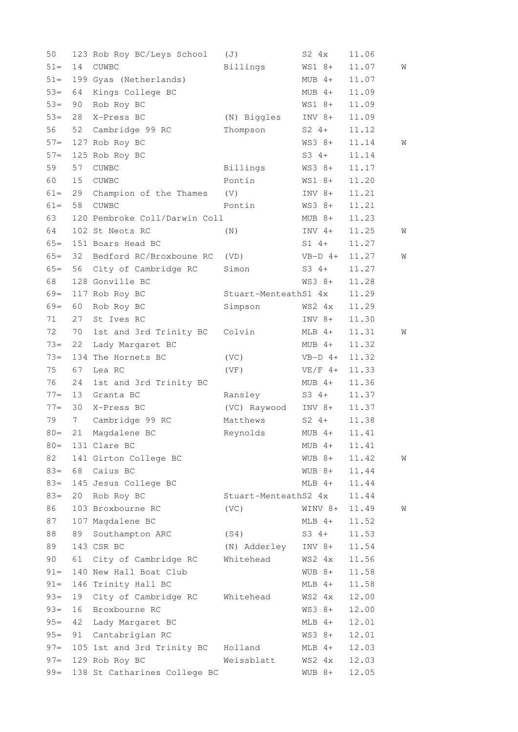| 50     |    | 123 Rob Roy BC/Leys School      | (J)                  | $S2 \quad 4x$ | 11.06 |   |
|--------|----|---------------------------------|----------------------|---------------|-------|---|
| $51 -$ | 14 | CUWBC                           | Billings             | WS1 8+        | 11.07 | W |
| $51 =$ |    | 199 Gyas (Netherlands)          |                      | $MUB$ 4+      | 11.07 |   |
| $53=$  | 64 | Kings College BC                |                      | $MUB$ 4+      | 11.09 |   |
| $53=$  | 90 | Rob Roy BC                      |                      | WS1 8+        | 11.09 |   |
| $53=$  | 28 | X-Press BC                      | (N) Biggles          | $INV 8+$      | 11.09 |   |
| 56     | 52 | Cambridge 99 RC                 | Thompson             | $S2 4+$       | 11.12 |   |
| $57=$  |    | 127 Rob Roy BC                  |                      | WS3 8+        | 11.14 | W |
| $57 =$ |    | 125 Rob Roy BC                  |                      | $S3 4+$       | 11.14 |   |
| 59     | 57 | <b>CUWBC</b>                    | Billings             | WS3 8+        | 11.17 |   |
| 60     | 15 | <b>CUWBC</b>                    | Pontin               | WS1 8+        | 11.20 |   |
| $61 =$ | 29 | Champion of the Thames          | (V)                  | $INV 8+$      | 11.21 |   |
| $61 =$ | 58 | CUWBC                           | Pontin               | WS3 8+        | 11.21 |   |
| 63     |    | 120 Pembroke Coll/Darwin Coll   |                      | $MUB 8+$      | 11.23 |   |
| 64     |    | 102 St Neots RC                 | (N)                  | $INV 4+$      | 11.25 | W |
| $65=$  |    | 151 Boars Head BC               |                      | $S1 4+$       | 11.27 |   |
| $65=$  | 32 | Bedford RC/Broxboune RC         | (VD)                 | $VB-D$ 4+     | 11.27 | W |
| $65=$  | 56 | City of Cambridge RC            | Simon                | $S3 4+$       | 11.27 |   |
| 68     |    | 128 Gonville BC                 |                      | WS3 8+        | 11.28 |   |
| $69=$  |    | 117 Rob Roy BC                  | Stuart-MenteathS1 4x |               | 11.29 |   |
| $69=$  | 60 | Rob Roy BC                      | Simpson              | WS2 4x        | 11.29 |   |
| 71     | 27 | St Ives RC                      |                      | INV 8+        | 11.30 |   |
| 72     | 70 | 1st and 3rd Trinity BC          | Colvin               | $MLB$ 4+      | 11.31 | W |
| $73=$  | 22 | Lady Margaret BC                |                      | MUB 4+        | 11.32 |   |
| $73=$  |    | 134 The Hornets BC              | (VC)                 | $VB-D$ 4+     | 11.32 |   |
| 75     | 67 | Lea RC                          | (VF)                 | $VE/F$ 4+     | 11.33 |   |
| 76     | 24 | 1st and 3rd Trinity BC          |                      | MUB 4+        | 11.36 |   |
| $77 =$ | 13 | Granta BC                       | Ransley              | $S3 \t4+$     | 11.37 |   |
| $77 =$ | 30 | X-Press BC                      | (VC) Raywood         | INV 8+        | 11.37 |   |
| 79     | 7  | Cambridge 99 RC                 | Matthews             | $S2 \t4+$     | 11.38 |   |
| $80 =$ | 21 | Magdalene BC                    | Reynolds             | $MUB$ 4+      | 11.41 |   |
| $80 =$ |    | 131 Clare BC                    |                      | $MUB$ 4+      | 11.41 |   |
| 82     |    | 141 Girton College BC           |                      | $WUB$ 8+      | 11.42 | W |
| $83 =$ | 68 | Caius BC                        |                      | $WUB$ 8+      | 11.44 |   |
| $83 =$ |    | 145 Jesus College BC            |                      | $MLB$ 4+      | 11.44 |   |
| $83 =$ | 20 |                                 | Stuart-MenteathS2 4x |               | 11.44 |   |
|        |    | Rob Roy BC<br>103 Broxbourne RC |                      |               |       |   |
| 86     |    |                                 | (VC)                 | WINV 8+       | 11.49 | W |
| 87     |    | 107 Magdalene BC                |                      | $MLB$ 4+      | 11.52 |   |
| 88     | 89 | Southampton ARC                 | (S4)                 | $S3 \t4+$     | 11.53 |   |
| 89     |    | 143 CSR BC                      | (N) Adderley         | $INV 8+$      | 11.54 |   |
| 90     | 61 | City of Cambridge RC            | Whitehead            | WS2 4x        | 11.56 |   |
| $91 =$ |    | 140 New Hall Boat Club          |                      | $WUB 8+$      | 11.58 |   |
| $91 =$ |    | 146 Trinity Hall BC             |                      | $MLB$ 4+      | 11.58 |   |
| $93 =$ | 19 | City of Cambridge RC            | Whitehead            | WS2 4x        | 12.00 |   |
| $93 =$ | 16 | Broxbourne RC                   |                      | WS3 8+        | 12.00 |   |
| $95 =$ | 42 | Lady Margaret BC                |                      | MLB 4+        | 12.01 |   |
| $95 =$ | 91 | Cantabrigian RC                 |                      | $WS3 8+$      | 12.01 |   |
| $97 =$ |    | 105 1st and 3rd Trinity BC      | Holland              | $MLB$ 4+      | 12.03 |   |
| $97 =$ |    | 129 Rob Roy BC                  | Weissblatt           | WS2 4x        | 12.03 |   |
| $99 =$ |    | 138 St Catharines College BC    |                      | WUB 8+        | 12.05 |   |